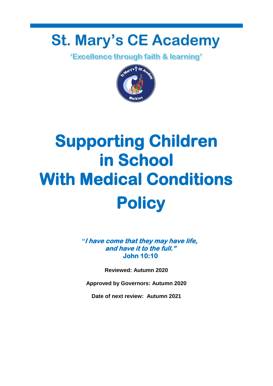# **St. Mary's CE Academy**

*'Excellence through faith & learning'* 



# **Supporting Children in School With Medical Conditions Policy**

*"***I have come that they may have life, and have it to the full." John 10:10** 

**Reviewed: Autumn 2020**

**Approved by Governors: Autumn 2020**

**Date of next review: Autumn 2021**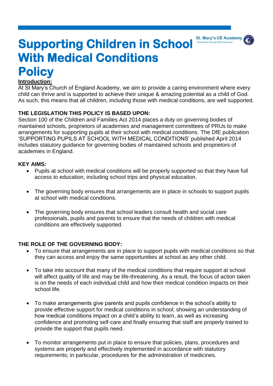

# **Supporting Children in School With Medical Conditions Policy**

#### **Introduction:**

At St Mary's Church of England Academy, we aim to provide a caring environment where every child can thrive and is supported to achieve their unique & amazing potential as a child of God. As such, this means that all children, including those with medical conditions, are well supported.

#### **THE LEGISLATION THIS POLICY IS BASED UPON:**

Section 100 of the Children and Families Act 2014 places a duty on governing bodies of maintained schools, proprietors of academies and management committees of PRUs to make arrangements for supporting pupils at their school with medical conditions. The DfE publication 'SUPPORTING PUPILS AT SCHOOL WITH MEDICAL CONDITIONS' published April 2014 includes statutory guidance for governing bodies of maintained schools and proprietors of academies in England.

#### **KEY AIMS:**

- Pupils at school with medical conditions will be properly supported so that they have full access to education, including school trips and physical education.
- The governing body ensures that arrangements are in place in schools to support pupils at school with medical conditions.
- The governing body ensures that school leaders consult health and social care professionals, pupils and parents to ensure that the needs of children with medical conditions are effectively supported.

#### **THE ROLE OF THE GOVERNING BODY:**

- To ensure that arrangements are in place to support pupils with medical conditions so that they can access and enjoy the same opportunities at school as any other child.
- To take into account that many of the medical conditions that require support at school will affect quality of life and may be life-threatening. As a result, the focus of action taken is on the needs of each individual child and how their medical condition impacts on their school life.
- To make arrangements give parents and pupils confidence in the school's ability to provide effective support for medical conditions in school; showing an understanding of how medical conditions impact on a child's ability to learn, as well as increasing confidence and promoting self-care and finally ensuring that staff are properly trained to provide the support that pupils need.
- To monitor arrangements put in place to ensure that policies, plans, procedures and systems are properly and effectively implemented in accordance with statutory requirements; in particular, procedures for the administration of medicines.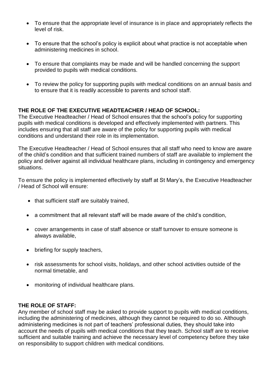- To ensure that the appropriate level of insurance is in place and appropriately reflects the level of risk.
- To ensure that the school's policy is explicit about what practice is not acceptable when administering medicines in school.
- To ensure that complaints may be made and will be handled concerning the support provided to pupils with medical conditions.
- To review the policy for supporting pupils with medical conditions on an annual basis and to ensure that it is readily accessible to parents and school staff.

#### **THE ROLE OF THE EXECUTIVE HEADTEACHER / HEAD OF SCHOOL:**

The Executive Headteacher / Head of School ensures that the school's policy for supporting pupils with medical conditions is developed and effectively implemented with partners. This includes ensuring that all staff are aware of the policy for supporting pupils with medical conditions and understand their role in its implementation.

The Executive Headteacher / Head of School ensures that all staff who need to know are aware of the child's condition and that sufficient trained numbers of staff are available to implement the policy and deliver against all individual healthcare plans, including in contingency and emergency situations.

To ensure the policy is implemented effectively by staff at St Mary's, the Executive Headteacher / Head of School will ensure:

- that sufficient staff are suitably trained,
- a commitment that all relevant staff will be made aware of the child's condition,
- cover arrangements in case of staff absence or staff turnover to ensure someone is always available,
- briefing for supply teachers,
- risk assessments for school visits, holidays, and other school activities outside of the normal timetable, and
- monitoring of individual healthcare plans.

#### **THE ROLE OF STAFF:**

Any member of school staff may be asked to provide support to pupils with medical conditions, including the administering of medicines, although they cannot be required to do so. Although administering medicines is not part of teachers' professional duties, they should take into account the needs of pupils with medical conditions that they teach. School staff are to receive sufficient and suitable training and achieve the necessary level of competency before they take on responsibility to support children with medical conditions.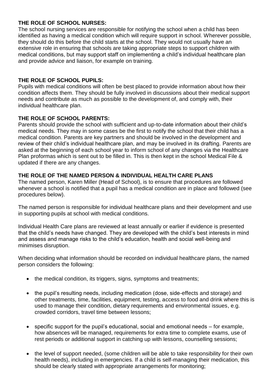#### **THE ROLE OF SCHOOL NURSES:**

The school nursing services are responsible for notifying the school when a child has been identified as having a medical condition which will require support in school. Wherever possible, they should do this before the child starts at the school. They would not usually have an extensive role in ensuring that schools are taking appropriate steps to support children with medical conditions, but may support staff on implementing a child's individual healthcare plan and provide advice and liaison, for example on training.

#### **THE ROLE OF SCHOOL PUPILS:**

Pupils with medical conditions will often be best placed to provide information about how their condition affects them. They should be fully involved in discussions about their medical support needs and contribute as much as possible to the development of, and comply with, their individual healthcare plan.

#### **THE ROLE OF SCHOOL PARENTS:**

Parents should provide the school with sufficient and up-to-date information about their child's medical needs. They may in some cases be the first to notify the school that their child has a medical condition. Parents are key partners and should be involved in the development and review of their child's individual healthcare plan, and may be involved in its drafting. Parents are asked at the beginning of each school year to inform school of any changes via the Healthcare Plan proformas which is sent out to be filled in. This is then kept in the school Medical File & updated if there are any changes.

#### **THE ROLE OF THE NAMED PERSON & INDIVIDUAL HEALTH CARE PLANS**

The named person, Karen Miller (Head of School), is to ensure that procedures are followed whenever a school is notified that a pupil has a medical condition are in place and followed (see procedures below).

The named person is responsible for individual healthcare plans and their development and use in supporting pupils at school with medical conditions.

Individual Health Care plans are reviewed at least annually or earlier if evidence is presented that the child's needs have changed. They are developed with the child's best interests in mind and assess and manage risks to the child's education, health and social well-being and minimises disruption.

When deciding what information should be recorded on individual healthcare plans, the named person considers the following:

- the medical condition, its triggers, signs, symptoms and treatments;
- the pupil's resulting needs, including medication (dose, side-effects and storage) and other treatments, time, facilities, equipment, testing, access to food and drink where this is used to manage their condition, dietary requirements and environmental issues, e.g. crowded corridors, travel time between lessons;
- specific support for the pupil's educational, social and emotional needs for example, how absences will be managed, requirements for extra time to complete exams, use of rest periods or additional support in catching up with lessons, counselling sessions;
- the level of support needed, (some children will be able to take responsibility for their own health needs), including in emergencies. If a child is self-managing their medication, this should be clearly stated with appropriate arrangements for monitoring;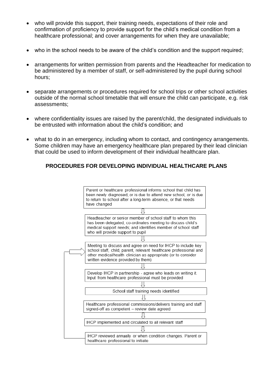- who will provide this support, their training needs, expectations of their role and confirmation of proficiency to provide support for the child's medical condition from a healthcare professional; and cover arrangements for when they are unavailable;
- who in the school needs to be aware of the child's condition and the support required;
- arrangements for written permission from parents and the Headteacher for medication to be administered by a member of staff, or self-administered by the pupil during school hours;
- separate arrangements or procedures required for school trips or other school activities outside of the normal school timetable that will ensure the child can participate, e.g. risk assessments;
- where confidentiality issues are raised by the parent/child, the designated individuals to be entrusted with information about the child's condition; and
- what to do in an emergency, including whom to contact, and contingency arrangements. Some children may have an emergency healthcare plan prepared by their lead clinician that could be used to inform development of their individual healthcare plan.

#### **PROCEDURES FOR DEVELOPING INDIVIDUAL HEALTHCARE PLANS**

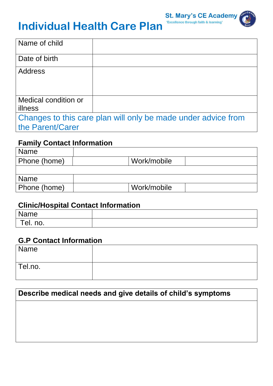

# **Individual Health Care Plan**

| Name of child                                                 |  |  |  |
|---------------------------------------------------------------|--|--|--|
| Date of birth                                                 |  |  |  |
| <b>Address</b>                                                |  |  |  |
|                                                               |  |  |  |
|                                                               |  |  |  |
| Medical condition or                                          |  |  |  |
| illness                                                       |  |  |  |
| Changes to this care plan will only be made under advice from |  |  |  |
| the Parent/Carer                                              |  |  |  |

## **Family Contact Information**

| Name         |             |
|--------------|-------------|
| Phone (home) | Work/mobile |
|              |             |
| <b>Name</b>  |             |
| Phone (home) | Work/mobile |

## **Clinic/Hospital Contact Information**

| Name     |  |
|----------|--|
| Tel. no. |  |

## **G.P Contact Information**

| Name        |  |
|-------------|--|
| $ $ Tel.no. |  |

# **Describe medical needs and give details of child's symptoms**